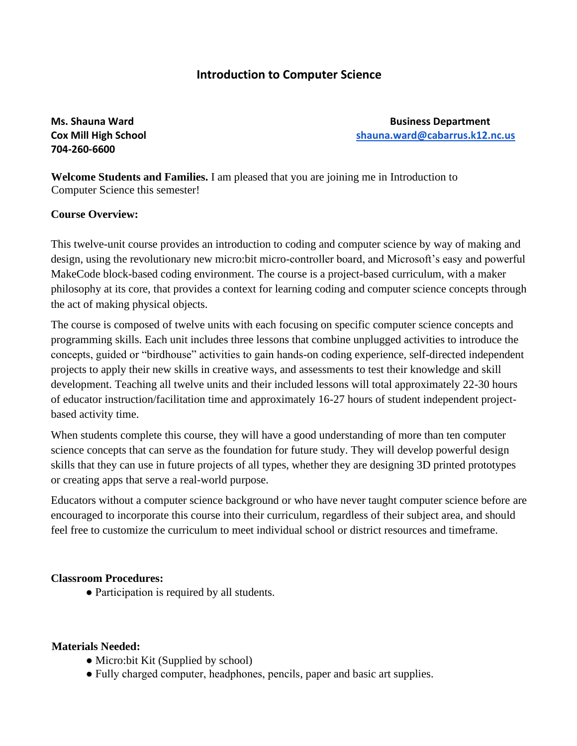# **Introduction to Computer Science**

**704-260-6600**

**Ms. Shauna Ward Business Department Cox Mill High School [shauna.ward@cabarrus.k12.nc.us](mailto:shauna.ward@cabarrus.k12.nc.us)**

**Welcome Students and Families.** I am pleased that you are joining me in Introduction to Computer Science this semester!

### **Course Overview:**

This twelve-unit course provides an introduction to coding and computer science by way of making and design, using the revolutionary new micro:bit micro-controller board, and Microsoft's easy and powerful MakeCode block-based coding environment. The course is a project-based curriculum, with a maker philosophy at its core, that provides a context for learning coding and computer science concepts through the act of making physical objects.

The course is composed of twelve units with each focusing on specific computer science concepts and programming skills. Each unit includes three lessons that combine unplugged activities to introduce the concepts, guided or "birdhouse" activities to gain hands-on coding experience, self-directed independent projects to apply their new skills in creative ways, and assessments to test their knowledge and skill development. Teaching all twelve units and their included lessons will total approximately 22-30 hours of educator instruction/facilitation time and approximately 16-27 hours of student independent projectbased activity time.

When students complete this course, they will have a good understanding of more than ten computer science concepts that can serve as the foundation for future study. They will develop powerful design skills that they can use in future projects of all types, whether they are designing 3D printed prototypes or creating apps that serve a real-world purpose.

Educators without a computer science background or who have never taught computer science before are encouraged to incorporate this course into their curriculum, regardless of their subject area, and should feel free to customize the curriculum to meet individual school or district resources and timeframe.

### **Classroom Procedures:**

• Participation is required by all students.

### **Materials Needed:**

- Micro: bit Kit (Supplied by school)
- Fully charged computer, headphones, pencils, paper and basic art supplies.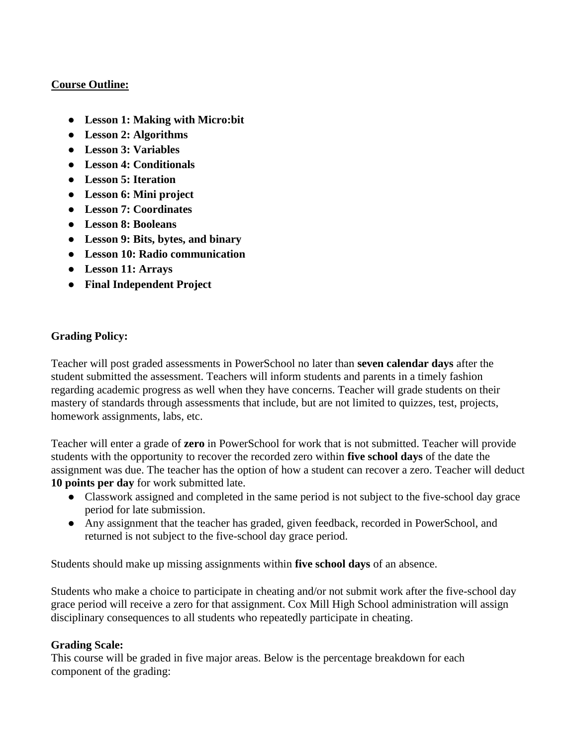### **Course Outline:**

- **Lesson 1: Making with Micro:bit**
- **Lesson 2: Algorithms**
- **Lesson 3: Variables**
- **Lesson 4: Conditionals**
- **Lesson 5: Iteration**
- **Lesson 6: Mini project**
- **Lesson 7: Coordinates**
- **Lesson 8: Booleans**
- **Lesson 9: Bits, bytes, and binary**
- **Lesson 10: Radio communication**
- **Lesson 11: Arrays**
- **Final Independent Project**

## **Grading Policy:**

Teacher will post graded assessments in PowerSchool no later than **seven calendar days** after the student submitted the assessment. Teachers will inform students and parents in a timely fashion regarding academic progress as well when they have concerns. Teacher will grade students on their mastery of standards through assessments that include, but are not limited to quizzes, test, projects, homework assignments, labs, etc.

Teacher will enter a grade of **zero** in PowerSchool for work that is not submitted. Teacher will provide students with the opportunity to recover the recorded zero within **five school days** of the date the assignment was due. The teacher has the option of how a student can recover a zero. Teacher will deduct **10 points per day** for work submitted late.

- Classwork assigned and completed in the same period is not subject to the five-school day grace period for late submission.
- Any assignment that the teacher has graded, given feedback, recorded in PowerSchool, and returned is not subject to the five-school day grace period.

Students should make up missing assignments within **five school days** of an absence.

Students who make a choice to participate in cheating and/or not submit work after the five-school day grace period will receive a zero for that assignment. Cox Mill High School administration will assign disciplinary consequences to all students who repeatedly participate in cheating.

# **Grading Scale:**

This course will be graded in five major areas. Below is the percentage breakdown for each component of the grading: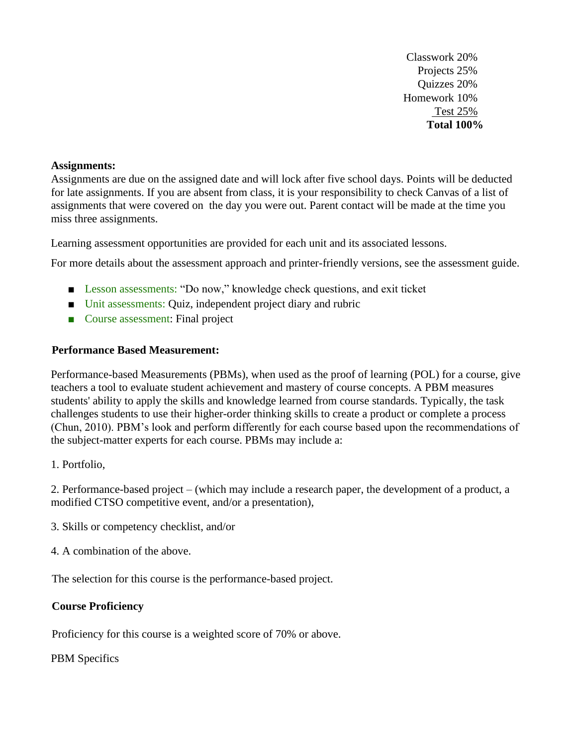Classwork 20% Projects 25% Quizzes 20% Homework 10% Test 25% **Total 100%** 

### **Assignments:**

Assignments are due on the assigned date and will lock after five school days. Points will be deducted for late assignments. If you are absent from class, it is your responsibility to check Canvas of a list of assignments that were covered on the day you were out. Parent contact will be made at the time you miss three assignments.

Learning assessment opportunities are provided for each unit and its associated lessons.

For more details about the assessment approach and printer-friendly versions, see the assessment guide.

- Lesson assessments: "Do now," knowledge check questions, and exit ticket
- Unit assessments: Quiz, independent project diary and rubric
- Course assessment: Final project

### **Performance Based Measurement:**

Performance-based Measurements (PBMs), when used as the proof of learning (POL) for a course, give teachers a tool to evaluate student achievement and mastery of course concepts. A PBM measures students' ability to apply the skills and knowledge learned from course standards. Typically, the task challenges students to use their higher-order thinking skills to create a product or complete a process (Chun, 2010). PBM's look and perform differently for each course based upon the recommendations of the subject-matter experts for each course. PBMs may include a:

1. Portfolio,

2. Performance-based project – (which may include a research paper, the development of a product, a modified CTSO competitive event, and/or a presentation),

- 3. Skills or competency checklist, and/or
- 4. A combination of the above.

The selection for this course is the performance-based project.

### **Course Proficiency**

Proficiency for this course is a weighted score of 70% or above.

PBM Specifics